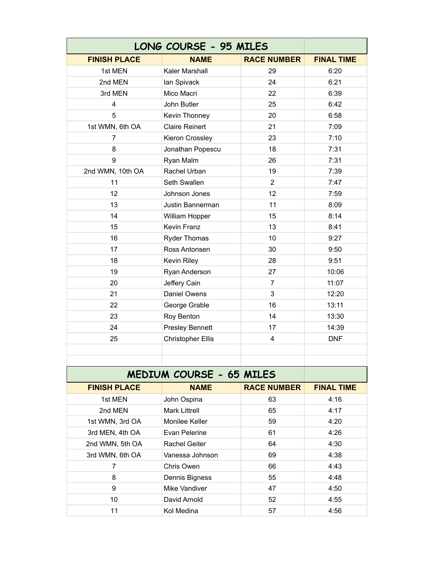| LONG COURSE - 95 MILES   |                          |                         |                   |  |
|--------------------------|--------------------------|-------------------------|-------------------|--|
| <b>FINISH PLACE</b>      | <b>NAME</b>              | <b>RACE NUMBER</b>      | <b>FINAL TIME</b> |  |
| 1st MEN                  | Kaler Marshall           | 29                      | 6:20              |  |
| 2nd MEN                  | lan Spivack              | 24                      | 6:21              |  |
| 3rd MEN                  | Mico Macri               | 22                      | 6:39              |  |
| $\overline{4}$           | John Butler              | 25                      | 6:42              |  |
| 5                        | Kevin Thonney            | 20                      | 6:58              |  |
| 1st WMN, 6th OA          | <b>Claire Reinert</b>    | 21                      | 7:09              |  |
| $\overline{7}$           | Kieron Crossley          | 23                      | 7:10              |  |
| 8                        | Jonathan Popescu         | 18                      | 7:31              |  |
| 9                        | Ryan Malm                | 26                      | 7:31              |  |
| 2nd WMN, 10th OA         | Rachel Urban             | 19                      | 7:39              |  |
| 11                       | Seth Swallen             | $\overline{2}$          | 7:47              |  |
| 12                       | Johnson Jones            | 12                      | 7:59              |  |
| 13                       | Justin Bannerman         | 11                      | 8:09              |  |
| 14                       | William Hopper           | 15                      | 8:14              |  |
| 15                       | Kevin Franz              | 13                      | 8:41              |  |
| 16                       | <b>Ryder Thomas</b>      | 10                      | 9:27              |  |
| 17                       | Ross Antonsen            | 30                      | 9:50              |  |
| 18                       | Kevin Riley              | 28                      | 9:51              |  |
| 19                       | Ryan Anderson            | 27                      | 10:06             |  |
| 20                       | Jeffery Cain             | $\overline{7}$          | 11:07             |  |
| 21                       | Daniel Owens             | 3                       | 12:20             |  |
| 22                       | George Grable            | 16                      | 13:11             |  |
| 23                       | Roy Benton               | 14                      | 13:30             |  |
| 24                       | <b>Presley Bennett</b>   | 17                      | 14:39             |  |
| 25                       | <b>Christopher Ellis</b> | $\overline{\mathbf{4}}$ | <b>DNF</b>        |  |
|                          |                          |                         |                   |  |
|                          |                          |                         |                   |  |
| MEDIUM COURSE - 65 MILES |                          |                         |                   |  |
| <b>FINISH PLACE</b>      | <b>NAME</b>              | <b>RACE NUMBER</b>      | <b>FINAL TIME</b> |  |
| 1st MEN                  | John Ospina              | 63                      | 4:16              |  |
| 2nd MEN                  | <b>Mark Littrell</b>     | 65                      | 4:17              |  |
| 1st WMN, 3rd OA          | Monilee Keller           | 59                      | 4:20              |  |
| 3rd MEN, 4th OA          | Evan Pelerine            | 61                      | 4:26              |  |
| 2nd WMN, 5th OA          | Rachel Geiter            | 64                      | 4:30              |  |
| 3rd WMN, 6th OA          | Vanessa Johnson          | 69                      | 4:38              |  |
| $\overline{7}$           | Chris Owen               | 66                      | 4:43              |  |
| 8                        | Dennis Bigness           | 55                      | 4:48              |  |
| 9                        | Mike Vandiver            | 47                      | 4:50              |  |
| 10                       | David Arnold             | 52                      | 4:55              |  |
| 11                       | Kol Medina               | 57                      | 4:56              |  |